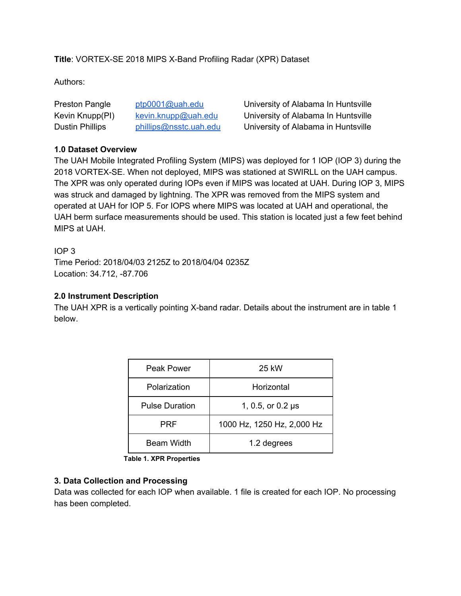**Title**: VORTEX-SE 2018 MIPS X-Band Profiling Radar (XPR) Dataset

Authors:

| Preston Pangle  | $ptp0001@$ uah.edu     | Univer |
|-----------------|------------------------|--------|
| Kevin Knupp(PI) | kevin.knupp@uah.edu    | Univer |
| Dustin Phillips | phillips@nsstc.uah.edu | Univer |

rsity of Alabama In Huntsville rsity of Alabama In Huntsville rsity of Alabama in Huntsville

### **1.0 Dataset Overview**

The UAH Mobile Integrated Profiling System (MIPS) was deployed for 1 IOP (IOP 3) during the 2018 VORTEX-SE. When not deployed, MIPS was stationed at SWIRLL on the UAH campus. The XPR was only operated during IOPs even if MIPS was located at UAH. During IOP 3, MIPS was struck and damaged by lightning. The XPR was removed from the MIPS system and operated at UAH for IOP 5. For IOPS where MIPS was located at UAH and operational, the UAH berm surface measurements should be used. This station is located just a few feet behind MIPS at UAH.

IOP 3 Time Period: 2018/04/03 2125Z to 2018/04/04 0235Z Location: 34.712, -87.706

# **2.0 Instrument Description**

The UAH XPR is a vertically pointing X-band radar. Details about the instrument are in table 1 below.

| Peak Power            | 25 kW                      |
|-----------------------|----------------------------|
| Polarization          | Horizontal                 |
| <b>Pulse Duration</b> | 1, 0.5, or 0.2 µs          |
| PRF                   | 1000 Hz, 1250 Hz, 2,000 Hz |
| <b>Beam Width</b>     | 1.2 degrees                |

 **Table 1. XPR Properties**

### **3. Data Collection and Processing**

Data was collected for each IOP when available. 1 file is created for each IOP. No processing has been completed.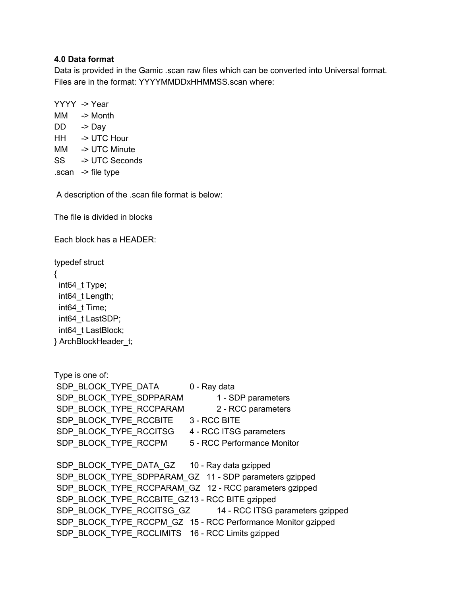### **4.0 Data format**

Data is provided in the Gamic .scan raw files which can be converted into Universal format. Files are in the format: YYYYMMDDxHHMMSS.scan where:

YYYY -> Year MM -> Month DD -> Day HH -> UTC Hour MM -> UTC Minute SS -> UTC Seconds .scan -> file type

A description of the .scan file format is below:

The file is divided in blocks

Each block has a HEADER:

typedef struct { int64\_t Type; int64\_t Length; int64\_t Time; int64\_t LastSDP; int64\_t LastBlock; } ArchBlockHeader\_t;

Type is one of: SDP\_BLOCK\_TYPE\_DATA 0 - Ray data SDP\_BLOCK\_TYPE\_SDPPARAM 1 - SDP parameters SDP\_BLOCK\_TYPE\_RCCPARAM 2 - RCC parameters SDP\_BLOCK\_TYPE\_RCCBITE \_\_ 3 - RCC BITE SDP\_BLOCK\_TYPE\_RCCITSG 4 - RCC ITSG parameters SDP\_BLOCK\_TYPE\_RCCPM 5 - RCC Performance Monitor SDP\_BLOCK\_TYPE\_DATA\_GZ 10 - Ray data gzipped SDP\_BLOCK\_TYPE\_SDPPARAM\_GZ 11 - SDP parameters gzipped SDP\_BLOCK\_TYPE\_RCCPARAM\_GZ 12 - RCC parameters gzipped SDP\_BLOCK\_TYPE\_RCCBITE\_GZ13 - RCC BITE gzipped SDP\_BLOCK\_TYPE\_RCCITSG\_GZ 14 - RCC ITSG parameters gzipped SDP\_BLOCK\_TYPE\_RCCPM\_GZ\_15 - RCC Performance Monitor gzipped SDP\_BLOCK\_TYPE\_RCCLIMITS 16 - RCC Limits gzipped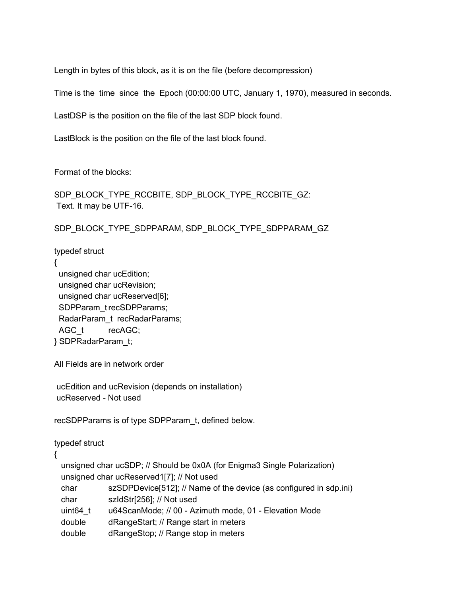Length in bytes of this block, as it is on the file (before decompression)

Time is the time since the Epoch (00:00:00 UTC, January 1, 1970), measured in seconds.

LastDSP is the position on the file of the last SDP block found.

LastBlock is the position on the file of the last block found.

Format of the blocks:

SDP\_BLOCK\_TYPE\_RCCBITE, SDP\_BLOCK\_TYPE\_RCCBITE\_GZ: Text. It may be UTF-16.

SDP\_BLOCK\_TYPE\_SDPPARAM, SDP\_BLOCK\_TYPE\_SDPPARAM\_GZ

typedef struct

{

unsigned char ucEdition; unsigned char ucRevision; unsigned char ucReserved[6]; SDPParam\_trecSDPParams; RadarParam\_t recRadarParams; AGC\_t recAGC; } SDPRadarParam\_t;

All Fields are in network order

ucEdition and ucRevision (depends on installation) ucReserved - Not used

recSDPParams is of type SDPParam\_t, defined below.

typedef struct

{

unsigned char ucSDP; // Should be 0x0A (for Enigma3 Single Polarization) unsigned char ucReserved1[7]; // Not used char szSDPDevice[512]; // Name of the device (as configured in sdp.ini) char szIdStr[256]; // Not used uint64 t u64ScanMode; // 00 - Azimuth mode, 01 - Elevation Mode double dRangeStart; // Range start in meters

double dRangeStop; // Range stop in meters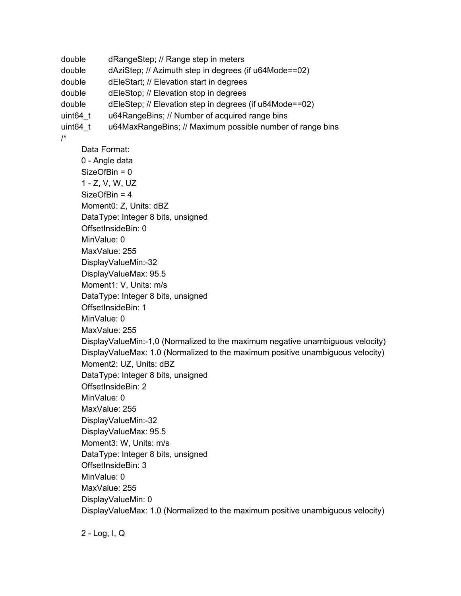```
double dRangeStep; // Range step in meters
double dAziStep; // Azimuth step in degrees (if u64Mode==02)
double dEleStart; // Elevation start in degrees
double dEleStop; // Elevation stop in degrees
double dEleStep; // Elevation step in degrees (if u64Mode==02)
uint64_t u64RangeBins; // Number of acquired range bins
uint64_t u64MaxRangeBins; // Maximum possible number of range bins
/*
     Data Format:
     0 - Angle data
     SizeOfBin = 0
     1 - Z, V, W, UZ
     SizeOfBin = 4
     Moment0: Z, Units: dBZ
     DataType: Integer 8 bits, unsigned
     OffsetInsideBin: 0
     MinValue: 0
     MaxValue: 255
     DisplayValueMin:-32
     DisplayValueMax: 95.5
     Moment1: V, Units: m/s
     DataType: Integer 8 bits, unsigned
     OffsetInsideBin: 1
     MinValue: 0
     MaxValue: 255
     DisplayValueMin:-1,0 (Normalized to the maximum negative unambiguous velocity)
     DisplayValueMax: 1.0 (Normalized to the maximum positive unambiguous velocity)
     Moment2: UZ, Units: dBZ
     DataType: Integer 8 bits, unsigned
     OffsetInsideBin: 2
     MinValue: 0
     MaxValue: 255
     DisplayValueMin:-32
     DisplayValueMax: 95.5
     Moment3: W, Units: m/s
     DataType: Integer 8 bits, unsigned
     OffsetInsideBin: 3
     MinValue: 0
     MaxValue: 255
     DisplayValueMin: 0
     DisplayValueMax: 1.0 (Normalized to the maximum positive unambiguous velocity)
```

```
2 - Log, I, Q
```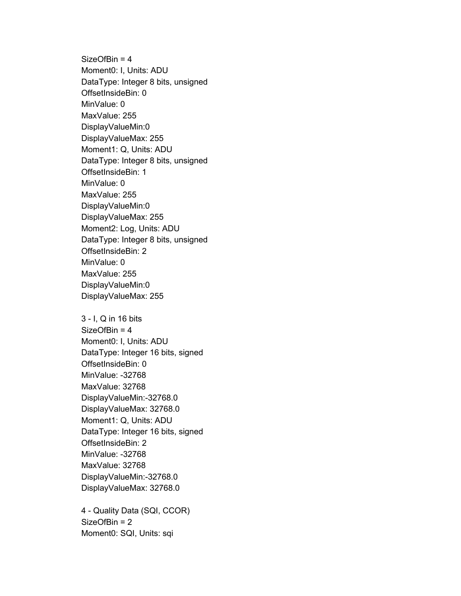SizeOfBin = 4 Moment0: I, Units: ADU DataType: Integer 8 bits, unsigned OffsetInsideBin: 0 MinValue: 0 MaxValue: 255 DisplayValueMin:0 DisplayValueMax: 255 Moment1: Q, Units: ADU DataType: Integer 8 bits, unsigned OffsetInsideBin: 1 MinValue: 0 MaxValue: 255 DisplayValueMin:0 DisplayValueMax: 255 Moment2: Log, Units: ADU DataType: Integer 8 bits, unsigned OffsetInsideBin: 2 MinValue: 0 MaxValue: 255 DisplayValueMin:0 DisplayValueMax: 255

3 - I, Q in 16 bits SizeOfBin = 4 Moment0: I, Units: ADU DataType: Integer 16 bits, signed OffsetInsideBin: 0 MinValue: -32768 MaxValue: 32768 DisplayValueMin:-32768.0 DisplayValueMax: 32768.0 Moment1: Q, Units: ADU DataType: Integer 16 bits, signed OffsetInsideBin: 2 MinValue: -32768 MaxValue: 32768 DisplayValueMin:-32768.0 DisplayValueMax: 32768.0

4 - Quality Data (SQI, CCOR) SizeOfBin = 2 Moment0: SQI, Units: sqi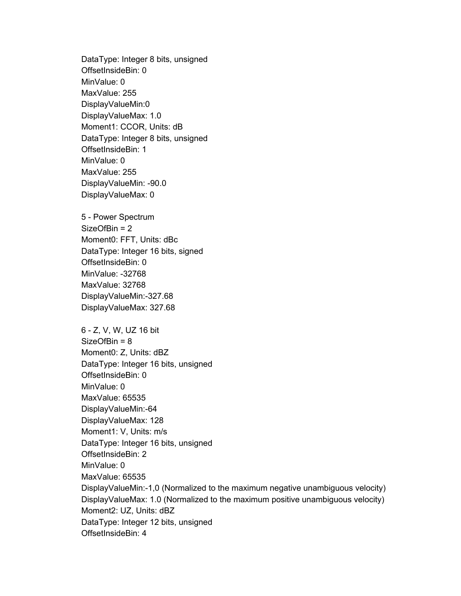DataType: Integer 8 bits, unsigned OffsetInsideBin: 0 MinValue: 0 MaxValue: 255 DisplayValueMin:0 DisplayValueMax: 1.0 Moment1: CCOR, Units: dB DataType: Integer 8 bits, unsigned OffsetInsideBin: 1 MinValue: 0 MaxValue: 255 DisplayValueMin: -90.0 DisplayValueMax: 0

5 - Power Spectrum SizeOfBin = 2 Moment0: FFT, Units: dBc DataType: Integer 16 bits, signed OffsetInsideBin: 0 MinValue: -32768 MaxValue: 32768 DisplayValueMin:-327.68 DisplayValueMax: 327.68

6 - Z, V, W, UZ 16 bit SizeOfBin = 8 Moment0: Z, Units: dBZ DataType: Integer 16 bits, unsigned OffsetInsideBin: 0 MinValue: 0 MaxValue: 65535 DisplayValueMin:-64 DisplayValueMax: 128 Moment1: V, Units: m/s DataType: Integer 16 bits, unsigned OffsetInsideBin: 2 MinValue: 0 MaxValue: 65535 DisplayValueMin:-1,0 (Normalized to the maximum negative unambiguous velocity) DisplayValueMax: 1.0 (Normalized to the maximum positive unambiguous velocity) Moment2: UZ, Units: dBZ DataType: Integer 12 bits, unsigned OffsetInsideBin: 4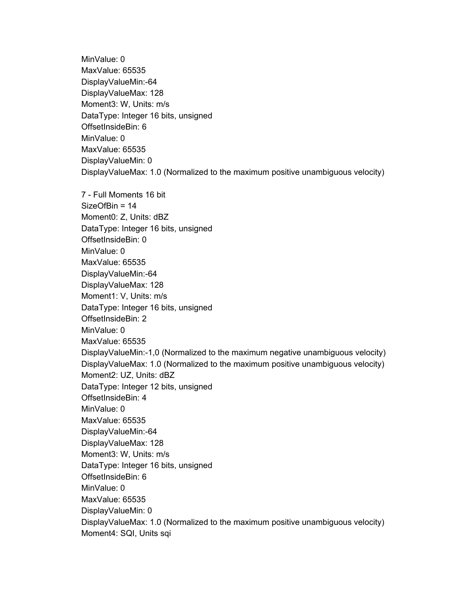MinValue: 0 MaxValue: 65535 DisplayValueMin:-64 DisplayValueMax: 128 Moment3: W, Units: m/s DataType: Integer 16 bits, unsigned OffsetInsideBin: 6 MinValue: 0 MaxValue: 65535 DisplayValueMin: 0 DisplayValueMax: 1.0 (Normalized to the maximum positive unambiguous velocity) 7 - Full Moments 16 bit SizeOfBin = 14 Moment0: Z, Units: dBZ DataType: Integer 16 bits, unsigned OffsetInsideBin: 0 MinValue: 0 MaxValue: 65535 DisplayValueMin:-64 DisplayValueMax: 128 Moment1: V, Units: m/s DataType: Integer 16 bits, unsigned OffsetInsideBin: 2 MinValue: 0 MaxValue: 65535 DisplayValueMin:-1,0 (Normalized to the maximum negative unambiguous velocity) DisplayValueMax: 1.0 (Normalized to the maximum positive unambiguous velocity) Moment2: UZ, Units: dBZ DataType: Integer 12 bits, unsigned OffsetInsideBin: 4 MinValue: 0 MaxValue: 65535 DisplayValueMin:-64 DisplayValueMax: 128 Moment3: W, Units: m/s DataType: Integer 16 bits, unsigned OffsetInsideBin: 6 MinValue: 0 MaxValue: 65535 DisplayValueMin: 0 DisplayValueMax: 1.0 (Normalized to the maximum positive unambiguous velocity) Moment4: SQI, Units sqi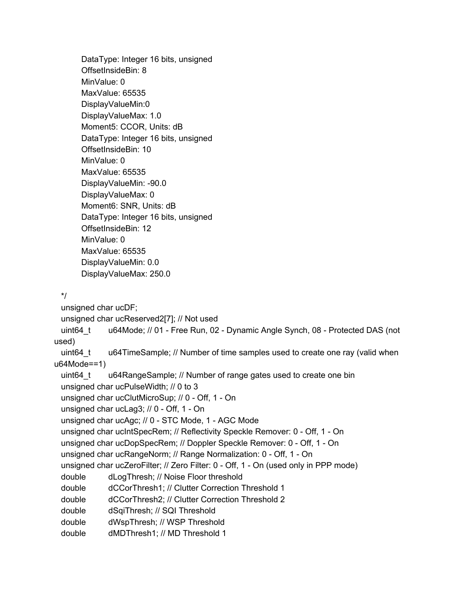DataType: Integer 16 bits, unsigned OffsetInsideBin: 8 MinValue: 0 MaxValue: 65535 DisplayValueMin:0 DisplayValueMax: 1.0 Moment5: CCOR, Units: dB DataType: Integer 16 bits, unsigned OffsetInsideBin: 10 MinValue: 0 MaxValue: 65535 DisplayValueMin: -90.0 DisplayValueMax: 0 Moment6: SNR, Units: dB DataType: Integer 16 bits, unsigned OffsetInsideBin: 12 MinValue: 0 MaxValue: 65535 DisplayValueMin: 0.0 DisplayValueMax: 250.0

\*/

unsigned char ucDF;

unsigned char ucReserved2[7]; // Not used

uint64\_t u64Mode; // 01 - Free Run, 02 - Dynamic Angle Synch, 08 - Protected DAS (not used)

uint64 t u64TimeSample; // Number of time samples used to create one ray (valid when u64Mode==1)

```
uint64_t u64RangeSample; // Number of range gates used to create one bin
unsigned char ucPulseWidth; // 0 to 3
```

```
unsigned char ucClutMicroSup; // 0 - Off, 1 - On
```

```
unsigned char ucLag3; // 0 - Off, 1 - On
```

```
unsigned char ucAgc; // 0 - STC Mode, 1 - AGC Mode
```

```
unsigned char ucIntSpecRem; // Reflectivity Speckle Remover: 0 - Off, 1 - On
```

```
unsigned char ucDopSpecRem; // Doppler Speckle Remover: 0 - Off, 1 - On
```

```
unsigned char ucRangeNorm; // Range Normalization: 0 - Off, 1 - On
```

```
unsigned char ucZeroFilter; // Zero Filter: 0 - Off, 1 - On (used only in PPP mode)
```

```
double dLogThresh; // Noise Floor threshold
```

```
double dCCorThresh1; // Clutter Correction Threshold 1
```

```
double dCCorThresh2; // Clutter Correction Threshold 2
```

```
double dSqiThresh; // SQI Threshold
```

```
double dWspThresh; // WSP Threshold
```

```
double dMDThresh1; // MD Threshold 1
```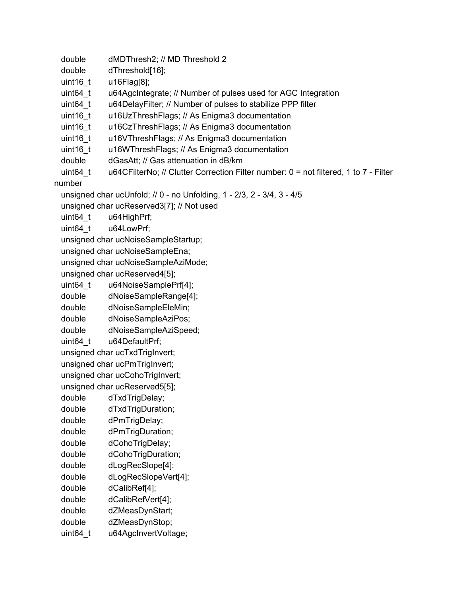```
double dMDThresh2; // MD Threshold 2
```

```
double dThreshold[16];
```
- uint16\_t u16Flag[8];
- uint64 t u64AgcIntegrate; // Number of pulses used for AGC Integration
- uint64 t u64DelayFilter; // Number of pulses to stabilize PPP filter
- uint16\_t u16UzThreshFlags; // As Enigma3 documentation
- uint16\_t u16CzThreshFlags; // As Enigma3 documentation
- uint16 t u16VThreshFlags; // As Enigma3 documentation
- uint16 t u16WThreshFlags; // As Enigma3 documentation
- double dGasAtt; // Gas attenuation in dB/km
- uint64 t u64CFilterNo; // Clutter Correction Filter number: 0 = not filtered, 1 to 7 Filter

number

```
unsigned char ucUnfold; // 0 - no Unfolding, 1 - 2/3, 2 - 3/4, 3 - 4/5
```
unsigned char ucReserved3[7]; // Not used

- uint64 t u64HighPrf;
- uint64\_t u64LowPrf;
- unsigned char ucNoiseSampleStartup;
- unsigned char ucNoiseSampleEna;

unsigned char ucNoiseSampleAziMode;

- unsigned char ucReserved4[5];
- uint64\_t u64NoiseSamplePrf[4];
- double dNoiseSampleRange[4];
- double dNoiseSampleEleMin;
- double dNoiseSampleAziPos;

double dNoiseSampleAziSpeed;

uint64 t u64DefaultPrf;

unsigned char ucTxdTrigInvert;

unsigned char ucPmTrigInvert;

unsigned char ucCohoTrigInvert;

unsigned char ucReserved5[5];

double dTxdTrigDelay;

- double dTxdTrigDuration;
- double dPmTrigDelay;
- double dPmTrigDuration;
- double dCohoTrigDelay;
- double dCohoTrigDuration;
- double dLogRecSlope[4];
- double dLogRecSlopeVert[4];
- double dCalibRef[4];
- double dCalibRefVert[4];
- double dZMeasDynStart;
- double dZMeasDynStop;
- uint64\_t u64AgcInvertVoltage;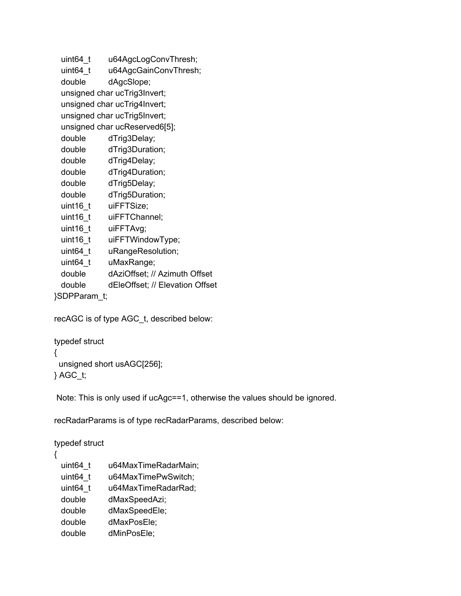uint64\_t u64AgcLogConvThresh;

uint64\_t u64AgcGainConvThresh;

double dAgcSlope;

unsigned char ucTrig3Invert;

unsigned char ucTrig4Invert;

unsigned char ucTrig5Invert;

unsigned char ucReserved6[5];

double dTrig3Delay;

double dTrig3Duration;

- double dTrig4Delay;
- double dTrig4Duration;
- double dTrig5Delay;
- double dTrig5Duration;
- uint16\_t uiFFTSize;
- uint16\_t uiFFTChannel;
- uint16\_t uiFFTAvg;
- uint16\_t uiFFTWindowType;
- uint64\_t uRangeResolution;
- uint64\_t uMaxRange;
- double dAziOffset; // Azimuth Offset
- double dEleOffset; // Elevation Offset

}SDPParam\_t;

recAGC is of type AGC\_t, described below:

```
typedef struct
{
 unsigned short usAGC[256];
} AGC_t;
```
Note: This is only used if ucAgc==1, otherwise the values should be ignored.

recRadarParams is of type recRadarParams, described below:

typedef struct

{

- uint64\_t u64MaxTimeRadarMain;
- uint64\_t u64MaxTimePwSwitch;
- uint64\_t u64MaxTimeRadarRad;
- double dMaxSpeedAzi;
- double dMaxSpeedEle;
- double dMaxPosEle;
- double dMinPosEle;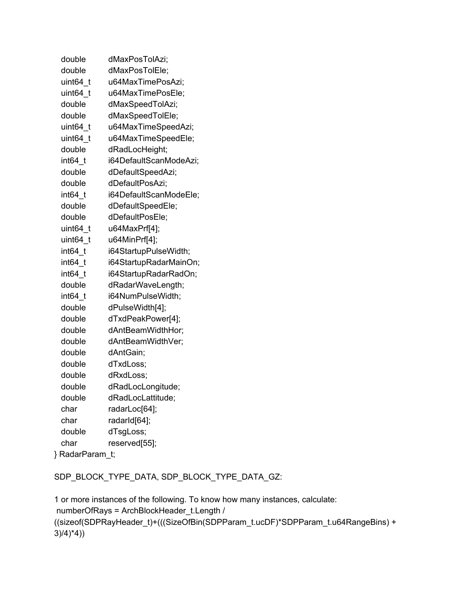| double          | dMaxPosTolAzi;         |
|-----------------|------------------------|
| double          | dMaxPosTolEle;         |
| uint64 t        | u64MaxTimePosAzi;      |
| uint64 t        | u64MaxTimePosEle;      |
| double          | dMaxSpeedTolAzi;       |
| double          | dMaxSpeedTolEle;       |
| uint64 t        | u64MaxTimeSpeedAzi;    |
| uint64 t        | u64MaxTimeSpeedEle;    |
| double          | dRadLocHeight;         |
| int64 t         | i64DefaultScanModeAzi; |
| double          | dDefaultSpeedAzi;      |
| double          | dDefaultPosAzi;        |
| int64 t         | i64DefaultScanModeEle; |
| double          | dDefaultSpeedEle;      |
| double          | dDefaultPosEle;        |
| uint64 t        | u64MaxPrf[4];          |
| uint64 t        | u64MinPrf[4];          |
| int64 t         | i64StartupPulseWidth;  |
| int64 t         | i64StartupRadarMainOn; |
| int64 t         | i64StartupRadarRadOn;  |
| double          | dRadarWaveLength;      |
| int64 t         | i64NumPulseWidth;      |
| double          | dPulseWidth[4];        |
| double          | dTxdPeakPower[4];      |
| double          | dAntBeamWidthHor;      |
| double          | dAntBeamWidthVer;      |
| double          | dAntGain;              |
| double          | dTxdLoss;              |
| double          | dRxdLoss;              |
| double          | dRadLocLongitude;      |
| double          | dRadLocLattitude;      |
| char            | radarLoc[64];          |
| char            | radarId[64];           |
| double          | dTsgLoss;              |
| char            | reserved[55];          |
| } RadarParam_t; |                        |

SDP\_BLOCK\_TYPE\_DATA, SDP\_BLOCK\_TYPE\_DATA\_GZ:

1 or more instances of the following. To know how many instances, calculate: numberOfRays = ArchBlockHeader\_t.Length / ((sizeof(SDPRayHeader\_t)+(((SizeOfBin(SDPParam\_t.ucDF)\*SDPParam\_t.u64RangeBins) +  $3)(4)^{*}4)$